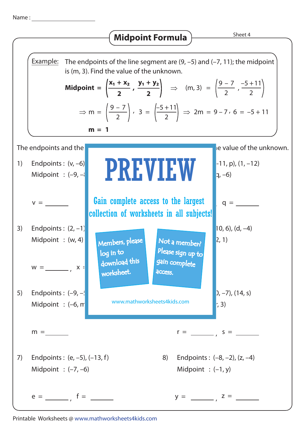Name :



Printable Worksheets @ www.mathworksheets4kids.com